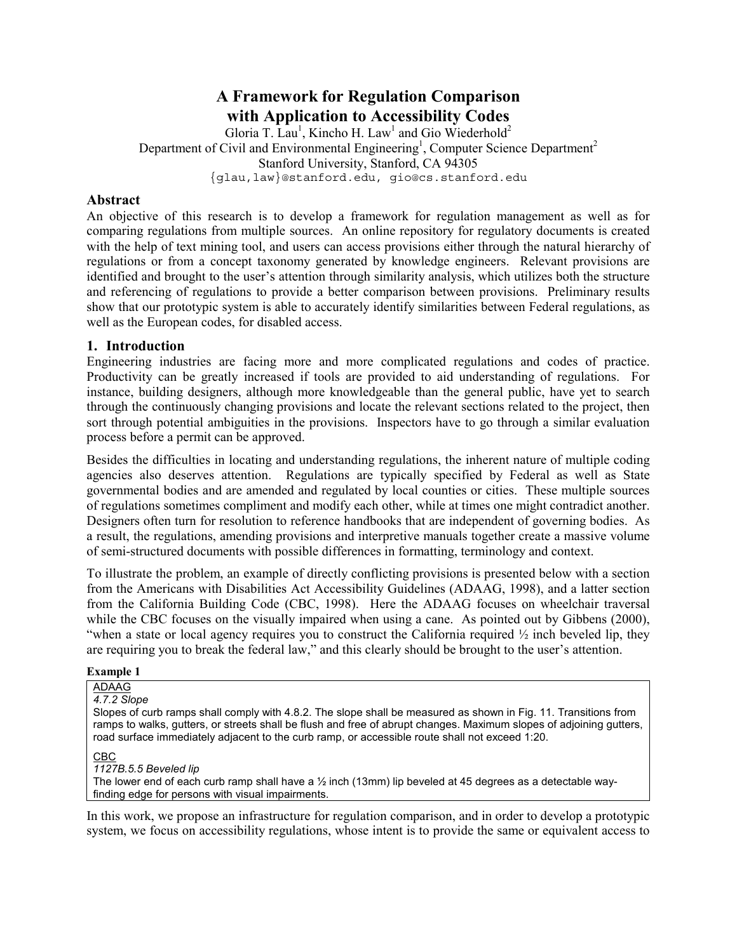# **A Framework for Regulation Comparison with Application to Accessibility Codes**

Gloria T. Lau<sup>1</sup>, Kincho H. Law<sup>1</sup> and Gio Wiederhold<sup>2</sup> Department of Civil and Environmental Engineering<sup>1</sup>, Computer Science Department<sup>2</sup> Stanford University, Stanford, CA 94305 {glau,law}@stanford.edu, gio@cs.stanford.edu

## **Abstract**

An objective of this research is to develop a framework for regulation management as well as for comparing regulations from multiple sources. An online repository for regulatory documents is created with the help of text mining tool, and users can access provisions either through the natural hierarchy of regulations or from a concept taxonomy generated by knowledge engineers. Relevant provisions are identified and brought to the user's attention through similarity analysis, which utilizes both the structure and referencing of regulations to provide a better comparison between provisions. Preliminary results show that our prototypic system is able to accurately identify similarities between Federal regulations, as well as the European codes, for disabled access.

## **1. Introduction**

Engineering industries are facing more and more complicated regulations and codes of practice. Productivity can be greatly increased if tools are provided to aid understanding of regulations. For instance, building designers, although more knowledgeable than the general public, have yet to search through the continuously changing provisions and locate the relevant sections related to the project, then sort through potential ambiguities in the provisions. Inspectors have to go through a similar evaluation process before a permit can be approved.

Besides the difficulties in locating and understanding regulations, the inherent nature of multiple coding agencies also deserves attention. Regulations are typically specified by Federal as well as State governmental bodies and are amended and regulated by local counties or cities. These multiple sources of regulations sometimes compliment and modify each other, while at times one might contradict another. Designers often turn for resolution to reference handbooks that are independent of governing bodies. As a result, the regulations, amending provisions and interpretive manuals together create a massive volume of semi-structured documents with possible differences in formatting, terminology and context.

To illustrate the problem, an example of directly conflicting provisions is presented below with a section from the Americans with Disabilities Act Accessibility Guidelines (ADAAG, 1998), and a latter section from the California Building Code (CBC, 1998). Here the ADAAG focuses on wheelchair traversal while the CBC focuses on the visually impaired when using a cane. As pointed out by Gibbens (2000), "when a state or local agency requires you to construct the California required  $\frac{1}{2}$  inch beveled lip, they are requiring you to break the federal law," and this clearly should be brought to the user's attention.

#### **Example 1**

ADAAG *4.7.2 Slope* 

Slopes of curb ramps shall comply with 4.8.2. The slope shall be measured as shown in Fig. 11. Transitions from ramps to walks, gutters, or streets shall be flush and free of abrupt changes. Maximum slopes of adjoining gutters, road surface immediately adjacent to the curb ramp, or accessible route shall not exceed 1:20.

#### CBC

*1127B.5.5 Beveled lip* 

The lower end of each curb ramp shall have a  $\frac{1}{2}$  inch (13mm) lip beveled at 45 degrees as a detectable wayfinding edge for persons with visual impairments.

In this work, we propose an infrastructure for regulation comparison, and in order to develop a prototypic system, we focus on accessibility regulations, whose intent is to provide the same or equivalent access to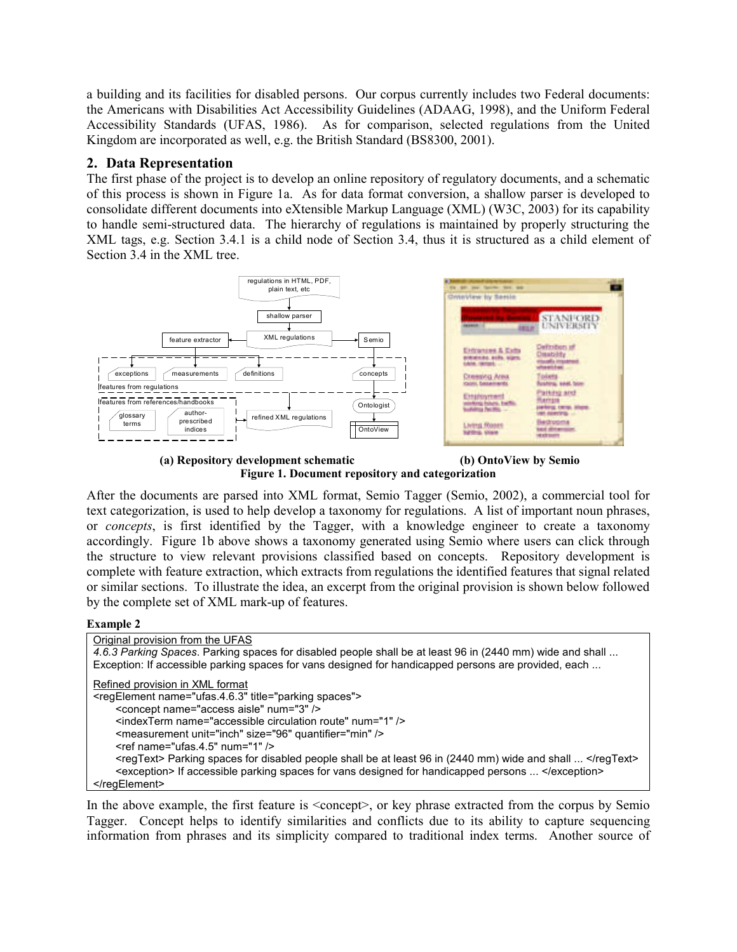a building and its facilities for disabled persons. Our corpus currently includes two Federal documents: the Americans with Disabilities Act Accessibility Guidelines (ADAAG, 1998), and the Uniform Federal Accessibility Standards (UFAS, 1986). As for comparison, selected regulations from the United Kingdom are incorporated as well, e.g. the British Standard (BS8300, 2001).

# **2. Data Representation**

The first phase of the project is to develop an online repository of regulatory documents, and a schematic of this process is shown in Figure 1a. As for data format conversion, a shallow parser is developed to consolidate different documents into eXtensible Markup Language (XML) (W3C, 2003) for its capability to handle semi-structured data. The hierarchy of regulations is maintained by properly structuring the XML tags, e.g. Section 3.4.1 is a child node of Section 3.4, thus it is structured as a child element of Section 3.4 in the XML tree.



 **(a) Repository development schematic (b) OntoView by Semio Figure 1. Document repository and categorization** 

After the documents are parsed into XML format, Semio Tagger (Semio, 2002), a commercial tool for text categorization, is used to help develop a taxonomy for regulations. A list of important noun phrases, or *concepts*, is first identified by the Tagger, with a knowledge engineer to create a taxonomy accordingly. Figure 1b above shows a taxonomy generated using Semio where users can click through the structure to view relevant provisions classified based on concepts. Repository development is complete with feature extraction, which extracts from regulations the identified features that signal related or similar sections. To illustrate the idea, an excerpt from the original provision is shown below followed by the complete set of XML mark-up of features.

### **Example 2**

| Original provision from the UFAS                                                                          |
|-----------------------------------------------------------------------------------------------------------|
| 4.6.3 Parking Spaces. Parking spaces for disabled people shall be at least 96 in (2440 mm) wide and shall |
| Exception: If accessible parking spaces for vans designed for handicapped persons are provided, each      |
| Refined provision in XML format                                                                           |
| <regelement name="ufas.4.6.3" title="parking spaces"></regelement>                                        |
| <concept name="access aisle" num="3"></concept>                                                           |
| <indexterm name="accessible circulation route" num="1"></indexterm>                                       |
| <measurement quantifier="min" size="96" unit="inch"></measurement>                                        |
| $\le$ ref name="ufas.4.5" num="1" />                                                                      |
| <regtext> Parking spaces for disabled people shall be at least 96 in (2440 mm) wide and shall  </regtext> |
| <exception> If accessible parking spaces for vans designed for handicapped persons  </exception>          |
|                                                                                                           |

In the above example, the first feature is  $\langle$ concept $\rangle$ , or key phrase extracted from the corpus by Semio Tagger. Concept helps to identify similarities and conflicts due to its ability to capture sequencing information from phrases and its simplicity compared to traditional index terms. Another source of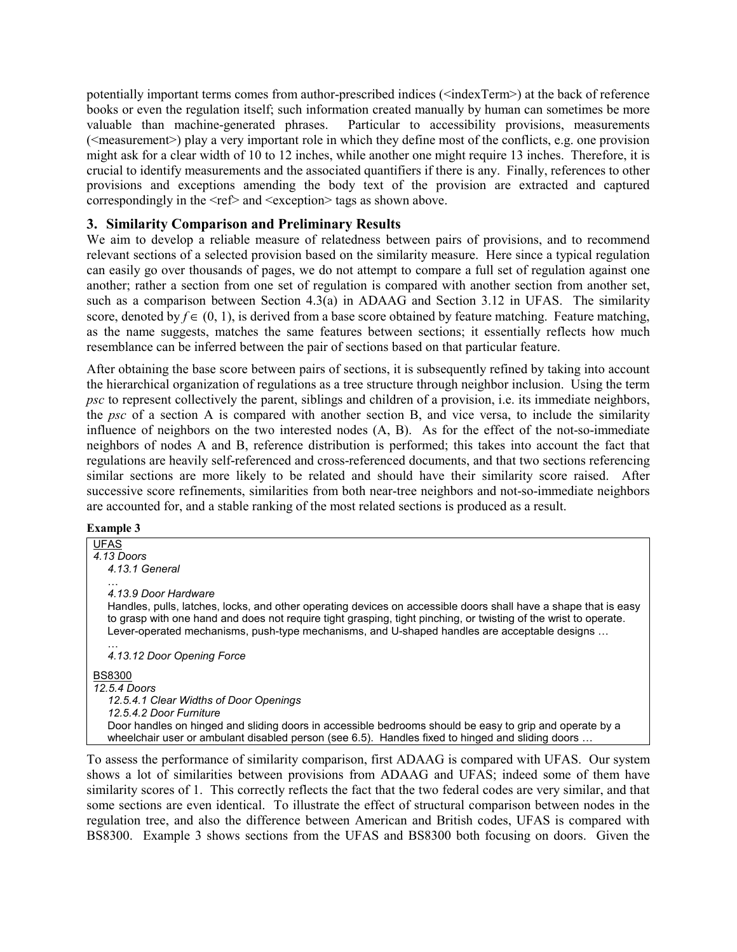potentially important terms comes from author-prescribed indices (<indexTerm>) at the back of reference books or even the regulation itself; such information created manually by human can sometimes be more valuable than machine-generated phrases. Particular to accessibility provisions, measurements  $(\leq_{\text{measurement}})$  play a very important role in which they define most of the conflicts, e.g. one provision might ask for a clear width of 10 to 12 inches, while another one might require 13 inches. Therefore, it is crucial to identify measurements and the associated quantifiers if there is any. Finally, references to other provisions and exceptions amending the body text of the provision are extracted and captured correspondingly in the <ref> and <exception> tags as shown above.

## **3. Similarity Comparison and Preliminary Results**

We aim to develop a reliable measure of relatedness between pairs of provisions, and to recommend relevant sections of a selected provision based on the similarity measure. Here since a typical regulation can easily go over thousands of pages, we do not attempt to compare a full set of regulation against one another; rather a section from one set of regulation is compared with another section from another set, such as a comparison between Section 4.3(a) in ADAAG and Section 3.12 in UFAS. The similarity score, denoted by  $f \in (0, 1)$ , is derived from a base score obtained by feature matching. Feature matching, as the name suggests, matches the same features between sections; it essentially reflects how much resemblance can be inferred between the pair of sections based on that particular feature.

After obtaining the base score between pairs of sections, it is subsequently refined by taking into account the hierarchical organization of regulations as a tree structure through neighbor inclusion. Using the term *psc* to represent collectively the parent, siblings and children of a provision, i.e. its immediate neighbors, the *psc* of a section A is compared with another section B, and vice versa, to include the similarity influence of neighbors on the two interested nodes (A, B). As for the effect of the not-so-immediate neighbors of nodes A and B, reference distribution is performed; this takes into account the fact that regulations are heavily self-referenced and cross-referenced documents, and that two sections referencing similar sections are more likely to be related and should have their similarity score raised. After successive score refinements, similarities from both near-tree neighbors and not-so-immediate neighbors are accounted for, and a stable ranking of the most related sections is produced as a result.

#### **Example 3**

| <b>UFAS</b>                                                                                                      |
|------------------------------------------------------------------------------------------------------------------|
| 4.13 Doors                                                                                                       |
| 4.13.1 General                                                                                                   |
| $\cdots$                                                                                                         |
| 4.13.9 Door Hardware                                                                                             |
| Handles, pulls, latches, locks, and other operating devices on accessible doors shall have a shape that is easy  |
| to grasp with one hand and does not require tight grasping, tight pinching, or twisting of the wrist to operate. |
| Lever-operated mechanisms, push-type mechanisms, and U-shaped handles are acceptable designs                     |
| $\cdots$                                                                                                         |
| 4.13.12 Door Opening Force                                                                                       |
| <b>BS8300</b>                                                                                                    |
| 12.5.4 Doors                                                                                                     |
| 12.5.4.1 Clear Widths of Door Openings                                                                           |
| 12.5.4.2 Door Furniture                                                                                          |
| Door handles on hinged and sliding doors in accessible bedrooms should be easy to grip and operate by a          |
| wheelchair user or ambulant disabled person (see 6.5). Handles fixed to hinged and sliding doors                 |
|                                                                                                                  |

To assess the performance of similarity comparison, first ADAAG is compared with UFAS. Our system shows a lot of similarities between provisions from ADAAG and UFAS; indeed some of them have similarity scores of 1. This correctly reflects the fact that the two federal codes are very similar, and that some sections are even identical. To illustrate the effect of structural comparison between nodes in the regulation tree, and also the difference between American and British codes, UFAS is compared with BS8300. Example 3 shows sections from the UFAS and BS8300 both focusing on doors. Given the